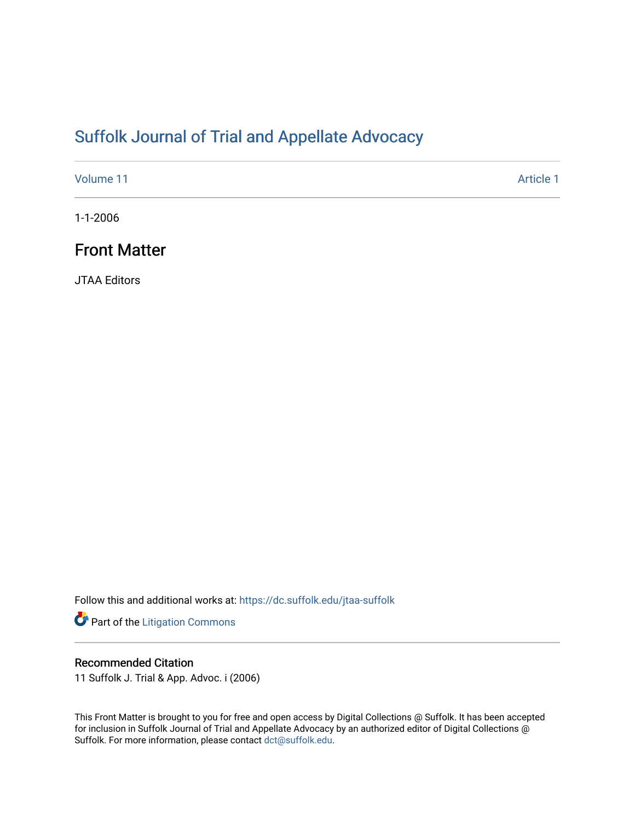# [Suffolk Journal of Trial and Appellate Advocacy](https://dc.suffolk.edu/jtaa-suffolk)

[Volume 11](https://dc.suffolk.edu/jtaa-suffolk/vol11) [Article 1](https://dc.suffolk.edu/jtaa-suffolk/vol11/iss1/1) Article 1 Article 1 Article 1 Article 1 Article 1 Article 1 Article 1 Article 1

1-1-2006

## Front Matter

JTAA Editors

Follow this and additional works at: [https://dc.suffolk.edu/jtaa-suffolk](https://dc.suffolk.edu/jtaa-suffolk?utm_source=dc.suffolk.edu%2Fjtaa-suffolk%2Fvol11%2Fiss1%2F1&utm_medium=PDF&utm_campaign=PDFCoverPages) 

Part of the [Litigation Commons](http://network.bepress.com/hgg/discipline/910?utm_source=dc.suffolk.edu%2Fjtaa-suffolk%2Fvol11%2Fiss1%2F1&utm_medium=PDF&utm_campaign=PDFCoverPages)

#### Recommended Citation

11 Suffolk J. Trial & App. Advoc. i (2006)

This Front Matter is brought to you for free and open access by Digital Collections @ Suffolk. It has been accepted for inclusion in Suffolk Journal of Trial and Appellate Advocacy by an authorized editor of Digital Collections @ Suffolk. For more information, please contact [dct@suffolk.edu.](mailto:dct@suffolk.edu)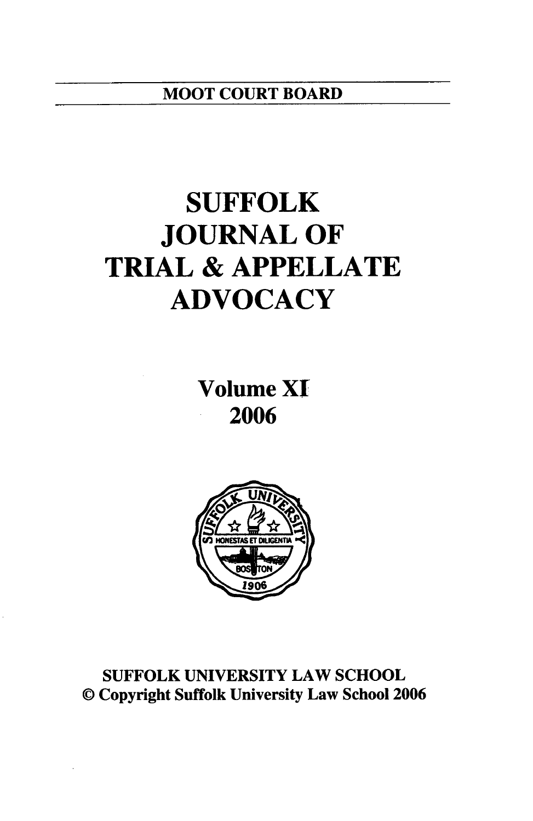# **SUFFOLK JOURNAL OF TRIAL & APPELLATE ADVOCACY**

**Volume XT 2006**



**SUFFOLK UNIVERSITY** LAW **SCHOOL ©** Copyright Suffolk University Law School **2006**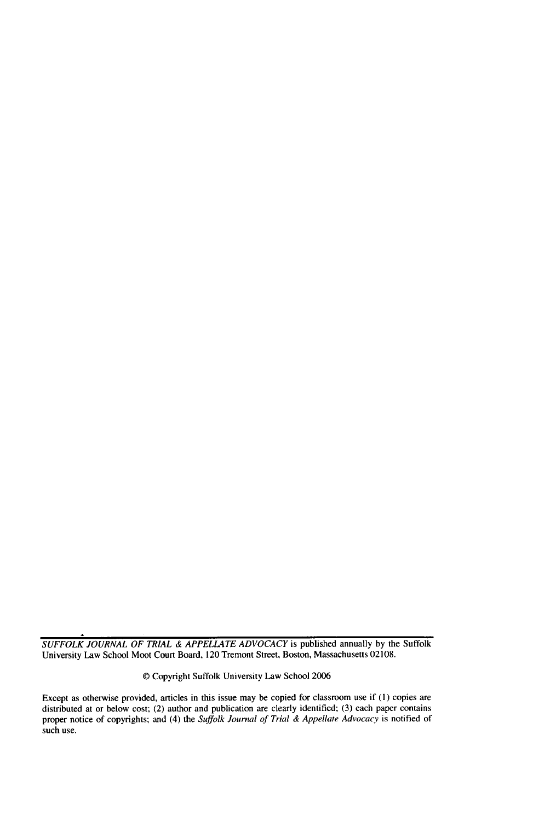*SUFFOLK JOURNAL OF TRIAL & APPELLATE ADVOCACY* is published annually by the Suffolk University Law School Moot Court Board, 120 Tremont Street, Boston, Massachusetts 02108.

**(D** Copyright Suffolk University Law School 2006

Except as otherwise provided, articles in this issue may be copied for classroom use if **(1)** copies are distributed at or below cost; (2) author and publication are clearly identified; (3) each paper contains proper notice of copyrights; and (4) the *Suffolk Journal of Trial & Appellate Advocacy* is notified of such use.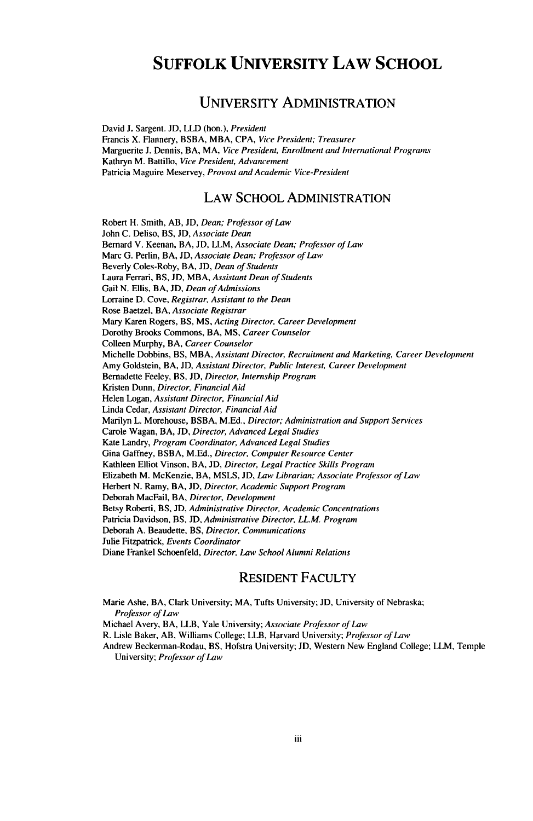## **SUFFOLK UNIVERSITY LAW SCHOOL**

#### **UNIVERSITY ADMINISTRATION**

David **J.** Sargent. **JD,** LLD (hon.), President Francis X. Flannery, BSBA, MBA, **CPA,** Vice President; *Treasurer* Marguerite **J.** Dennis, BA, MA, *Vice President, Enrollment and International Programs* Kathryn M. Battillo, *Vice President, Advancement* Patricia Maguire Meservey, Provost *and Academic Vice-President*

#### LAW **SCHOOL ADMINISTRATION**

Robert H. Smith, AB, **JD,** *Dean; Professor of Law* John C. Deliso, BS, JD, Associate *Dean* Bernard V. Keenan, BA, JD, LLM, *Associate Dean; Professor of Law* Marc G. Perlin, BA, **JD,** *Associate Dean; Professor of Law* Beverly Coles-Roby, BA, JD, *Dean of Students* Laura Ferrari, BS, JD, MBA, *Assistant Dean of* Students Gail N. Ellis, BA, JD, *Dean of Admissions* Lorraine D. Cove, *Registrar, Assistant to the Dean* Rose Baetzel, BA, *Associate Registrar* Mary Karen Rogers, BS, **MS,** *Acting Director, Career Development* Dorothy Brooks Commons, BA, **MS,** *Career Counselor* Colleen Murphy, BA, *Career Counselor* Michelle Dobbins, BS, MBA, *Assistant Director, Recruitment and Marketing, Career Development* Amy Goldstein, BA, JD, *Assistant Director, Public Interest, Career Development* Bernadette Feeley, BS, JD, Director, Internship *Program* Kristen Dunn, *Director, Financial Aid* Helen Logan, *Assistant Director, Financial* Aid Linda Cedar, *Assistant Director, Financial Aid* Marilyn L. Morehouse, BSBA, M.Ed., *Director; Administration and Support Services* Carole Wagan, BA, **JD,** *Director, Advanced Legal Studies* Kate Landry, *Program Coordinator, Advanced Legal Studies* Gina Gaffney, BSBA, M.Ed., *Director, Computer Resource Center* Kathleen Elliot Vinson, BA, **JD,** *Director, Legal Practice Skills Program* Elizabeth M. McKenzie, BA, MSLS, **JD,** *Law Librarian; Associate Professor of Law* Herbert N. Ramy, BA, JD, *Director, Academic Support Program* Deborah MacFail, BA, *Director, Development* Betsy Roberti, BS, **JD,** *Administrative Director, Academic Concentrations* Patricia Davidson, BS, **JD,** *Administrative Director, LL.M. Program* Deborah A. Beaudette, BS, *Director, Communications* Julie Fitzpatrick, *Events Coordinator* Diane Frankel Schoenfeld, *Director, Law School Alumni Relations*

#### RESIDENT FACULTY

Marie Ashe, BA, Clark University; MA, Tufts University; **JD,** University of Nebraska; *Professor of Law*

Michael Avery, BA, LLB, Yale University; *Associate Professor of Law*

R. Lisle Baker, AB, Williams College; LLB, Harvard University; *Professor of Law*

Andrew Beckerman-Rodau, BS, Hofstra University; JD, Western New England College; LLM, Temple University; *Professor of Law*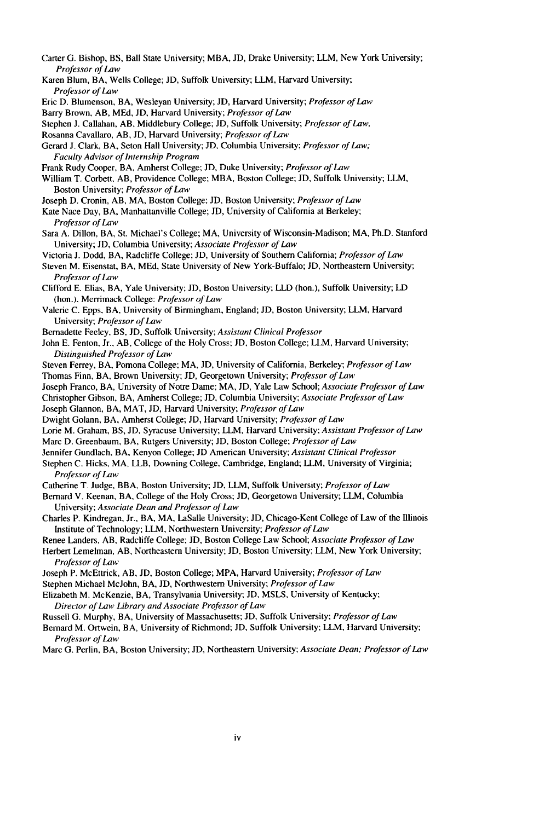- Carter **G.** Bishop, BS, Ball State University; MBA, JD, Drake University; LLM, New York University; *Professor of Law*
- Karen Blum, BA, Wells College; JD, Suffolk University; LLM, Harvard University; *Professor of Law*
- Eric D. Blumenson, BA, Wesleyan University; JD, Harvard University; *Professor of Law*
- Barry Brown, AB, MEd, JD, Harvard University; *Professor of Law*
- Stephen **J.** Callahan, AB, Middlebury College; JD, Suffolk University; *Professor of Law,*

Rosanna Cavallaro, AB, JD, Harvard University; *Professor of Law*

- Gerard J. Clark, BA, Seton Hall University; JD. Columbia University; *Professor of Law; Faculty Advisor of internship Program*
- Frank Rudy Cooper, BA, Amherst College; **JD,** Duke University; *Professor of Law*
- William T. Corbett, AB, Providence College; MBA, Boston College; JD, Suffolk University; LLM, Boston University; *Professor of Law*
- Joseph D. Cronin, AB, MA, Boston College; JD, Boston University; *Professor of Law*
- Kate Nace Day, BA, Manhattanville College; JD, University of California at Berkeley; *Professor of Law*
- Sara A. Dillon, BA, St. Michael's College; MA, University of Wisconsin-Madison; MA, Ph.D. Stanford University; **JD,** Columbia University; *Associate Professor of Law*
- Victoria J. Dodd, BA, Radcliffe College; JD, University of Southern California; *Professor of Law*
- Steven M. Eisenstat, BA, MEd, State University of New York-Buffalo; **JD,** Northeastern University; *Professor of Law*
- Clifford E. Elias, BA, Yale University; JD, Boston University; LLD (hon.), Suffolk University; LD (hon.). Merrimack College: *Professor of Law*
- Valerie C. Epps. BA, University of Birmingham, England; **JD,** Boston University; LLM, Harvard University; *Professor of Law*
- Bernadette Feeley, BS, **JD,** Suffolk University; *Assistant Clinical Professor*
- John E. Fenton, Jr., AB, College of the Holy Cross; JD, Boston College; LLM, Harvard University; *Distinguished Professor of Law*
- Steven Ferrey, BA, Pomona College; MA, JD, University of California, Berkeley; *Professor of Law* Thomas Finn, BA, Brown University; **JD,** Georgetown University; *Professor of Law*
- Joseph Franco, BA, University of Notre Dame; MA, **JD,** Yale Law School; *Associate Professor of Law*
- Christopher Gibson, BA, Amherst College; **JD,** Columbia University; *Associate Professor of Law* Joseph Glannon, BA, MAT, **JD,** Harvard University; *Professor of Law*
- Dwight Golann, BA, Amherst College; JD, Harvard University; *Professor of Law*
- Lorie M. Graham, BS, **JD,** Syracuse University; LLM, Harvard University; *Assistant Professor of Law*
- Marc D. Greenbaum, BA, Rutgers University; **JD,** Boston College; *Professor of Law*
- Jennifer Gundlach. **BA,** Kenyon College; **JD** American University; *Assistant Clinical Professor*
- Stephen C. Hicks, MA, LLB, Downing College, Cambridge, England; LLM, University of Virginia; *Professor of Law*
- Catherine T. Judge, BBA, Boston University; **JD.** LLM, Suffolk University; *Professor of Law*
- Bernard V. Keenan, BA, College of the Holy Cross; JD, Georgetown University; LLM, Columbia University; *Associate Dean and Professor of Law*
- Charles P. Kindregan, Jr., BA, MA, LaSalle University; **JD,** Chicago-Kent College of Law of the Illinois Institute of Technology; LLM, Northwestern University; *Professor of Law*
- Renee Landers, AB, Radcliffe College; **JD,** Boston College Law School; *Associate Professor of Law*
- Herbert Lemelman, AB, Northeastern University; **JD,** Boston University; LLM, New York University; *Professor of Law*
- Joseph P. McEttrick, AB, **JD,** Boston College; MPA, Harvard University; *Professor of Law*
- Stephen Michael McJohn, BA, JD, Northwestern University; *Professor of Law*
- Elizabeth M. McKenzie, BA, Transylvania University; JD, MSLS, University of Kentucky; *Director of Law Library and Associate Professor of Law*
- Russell G. Murphy, BA, University of Massachusetts; JD, Suffolk University; *Professor of Law*
- Bernard M. Ortwein, BA, University of Richmond; JD, Suffolk University; LLM, Harvard University; *Professor of Law*
- Marc G. Perlin, BA, Boston University; **JD,** Northeastern University; *Associate Dean; Professor of Law*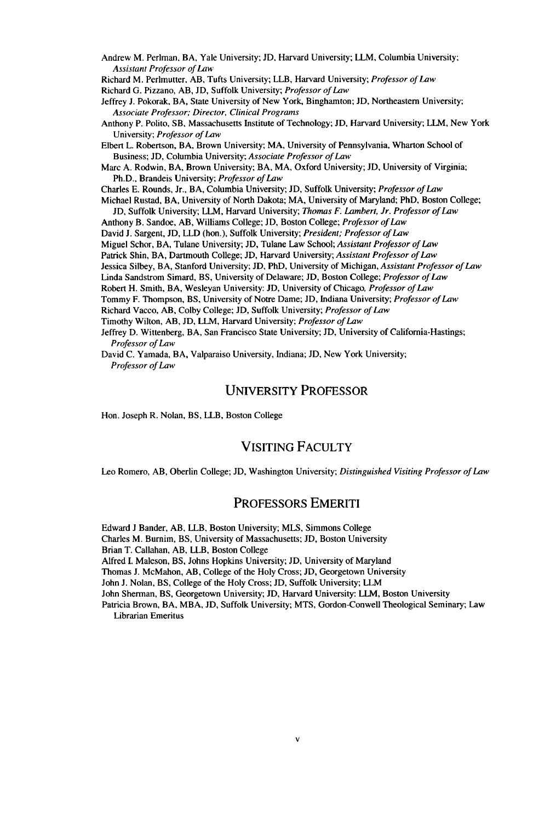- Andrew M. Perlman, BA, Yale University; **JD,** Harvard University; LLM, Columbia University; *Assistant Professor of Law*
- Richard M. Perlmutter. AB, Tufts University; LLB, Harvard University; *Professor of Law*

Richard **G.** Pizzano, AB, **JD,** Suffolk University; *Professor of Law*

- Jeffrey J. Pokorak, BA, State University of New York, Binghamton; **JD,** Northeastern University; *Associate Professor; Director, Clinical Programs*
- Anthony P. Polito, SB, Massachusetts Institute of Technology; **JD,** Harvard University; LLM, New York University; *Professor of Law*
- Elbert L. Robertson, BA, Brown University; MA, University of Pennsylvania, Wharton School of Business; JD, Columbia University; *Associate Professor of Law*
- Marc A. Rodwin, BA, Brown University; BA, MA, Oxford University; **JD,** University of Virginia; Ph.D., Brandeis University; *Professor of Law*
- Charles E. Rounds, Jr., BA, Columbia University; **JD,** Suffolk University; *Professor of Law*
- Michael Rustad, BA, University of North Dakota; MA, University of Maryland; PhD, Boston College;
	- JD, Suffolk University; LLM, Harvard University; *Thomas F. Lambert, Jr. Professor of Law*
- Anthony B. Sandoe, AB, Williams College; **JD,** Boston College; *Professor of Law*
- David **J.** Sargent, JD, LLD (hon.), Suffolk University; *President; Professor of Law*
- Miguel Schor, BA, Tulane University; JD, Tulane Law School; *Assistant Professor of Law*
- Patrick Shin, BA, Dartmouth College; **JD,** Harvard University; *Assistant Professor of Law*
- Jessica Silbey, BA, Stanford University; **JD,** PhD, University of Michigan, *Assistant Professor of Law*
- Linda Sandstrom Simard, BS, University of Delaware; JD, Boston College; *Professor of Law*
- Robert H. Smith, BA, Wesleyan University: JD, University of Chicago, *Professor of Law*
- Tommy F. Thompson, BS, University of Notre Dame; JD, Indiana University; *Professor of Law*
- Richard Vacco, AB, Colby College; **JD,** Suffolk University; *Professor of Law*
- Timothy Wilton, AB, JD, LLM, Harvard University; *Professor of Law*
- Jeffrey D. Wittenberg, BA, San Francisco State University; JD, University of California-Hastings; *Professor of Law*
- David C. Yamada, BA, Valparaiso University, Indiana; JD, New York University; *Professor of Law*

#### UNIVERSITY PROFESSOR

Hon. Joseph R. Nolan, BS, LLB, Boston College

#### VISITING FACULTY

Leo Romero, AB, Oberlin College; JD, Washington University; *Distinguished Visiting Professor of Law*

#### PROFESSORS EMERITI

Edward **J** Bander, AB, LLB, Boston University; MLS, Simmons College

Charles M. Burnim, BS, University of Massachusetts; JD, Boston University

Brian T. Callahan, AB, LLB, Boston College

Alfred I. Maleson, BS, Johns Hopkins University; JD, University of Maryland

Thomas **J.** McMahon, AB, College of the Holy Cross; **JD,** Georgetown University

John J. Nolan, BS, College of the Holy Cross; JD, Suffolk University; LLM

John Sherman, BS, Georgetown University; JD, Harvard University: LLM, Boston University

Patricia Brown, BA, MBA, JD, Suffolk University; MTS, Gordon-Conwell Theological Seminary; Law Librarian Emeritus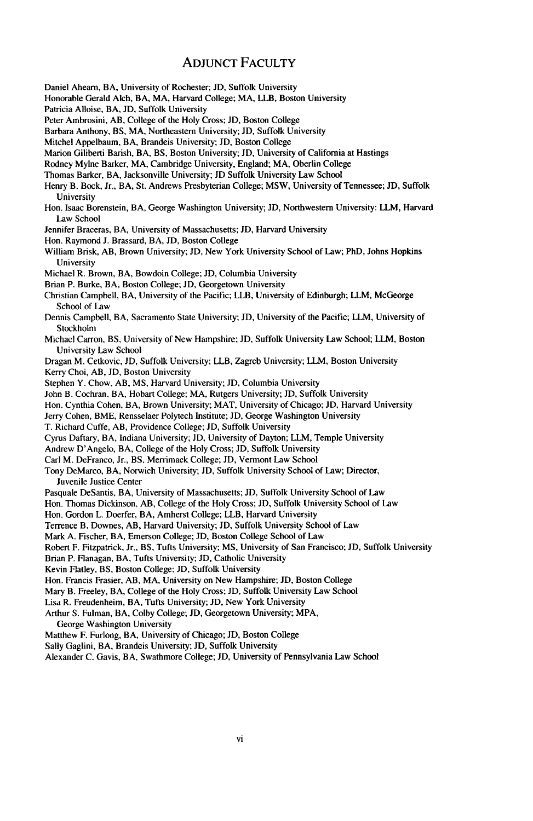#### ADJUNCT FACULTY

- Daniel Ahearn, BA, University of Rochester; JD, Suffolk University
- Honorable Gerald Alch, BA, MA, Harvard College; MA, LLB, Boston University
- Patricia Alloise, BA, JD, Suffolk University
- Peter Ambrosini, AB, College of the Holy Cross; JD, Boston College
- Barbara Anthony, BS, MA, Northeastern University; **JD,** Suffolk University
- Mitchel Appelbaum, BA, Brandeis University; JD, Boston College
- Marion Giliberti Barish, BA, BS, Boston University; JD, University of California at Hastings
- Rodney Mylne Barker, MA, Cambridge University, England; MA, Oberlin College
- Thomas Barker, BA, Jacksonville University; JD Suffolk University Law School
- Henry B. Bock, Jr., BA, St. Andrews Presbyterian College; MSW, University of Tennessee; JD, Suffolk University
- Hon. Isaac Borenstein, BA, George Washington University; JD, Northwestern University: LLM, Harvard Law School
- Jennifer Braceras, BA, University of Massachusetts; JD, Harvard University
- Hon. Raymond J. Brassard, BA, JD, Boston College
- William Brisk, AB, Brown University; JD, New York University School of Law; PhD, Johns Hopkins University
- Michael R. Brown, BA, Bowdoin College; **JD,** Columbia University
- Brian P. Burke, BA, Boston College; JD, Georgetown University
- Christian Campbell, BA, University of the Pacific; LLB, University of Edinburgh; LLM, McGeorge School of Law
- Dennis Campbell, BA, Sacramento State University; JD, University of the Pacific; LLM, University of Stockholm
- Michael Carron, BS, University of New Hampshire; JD, Suffolk University Law School; LLM, Boston University Law School

Dragan M. Cetkovic, **JD,** Suffolk University; LLB, Zagreb University: LLM, Boston University Kerry Choi, AB, JD, Boston University

- Stephen Y. Chow, AB, MS, Harvard University; JD, Columbia University
- John B. Cochran. BA, Hobart College; MA, Rutgers University; JD, Suffolk University
- Hon. Cynthia Cohen, BA, Brown University; MAT, University of Chicago; JD, Harvard University
- Jerry Cohen, BME, Rensselaer Polytech Institute; JD, George Washington University
- T. Richard Cuffe, AB, Providence College; **JD,** Suffolk University
- Cyrus Daftary, BA, Indiana University; JD, University of Dayton; LLM, Temple University
- Andrew D'Angelo, BA, College of the Holy Cross; JD, Suffolk University
- Carl M. DeFranco, Jr., BS, Merrimack College; JD, Vermont Law School
- Tony DeMarco, BA, Norwich University; **JD,** Suffolk University School of Law; Director, Juvenile Justice Center
- Pasquale DeSantis, BA, University of Massachusetts; JD, Suffolk University School of Law
- Hon. Thomas Dickinson, AB, College of the Holy Cross; **JD,** Suffolk University School of Law
- Hon. Gordon L. Doerfer, BA, Amherst College; LLB, Harvard University
- Terrence B. Downes, AB, Harvard University; JD, Suffolk University School of Law
- Mark A. Fischer, BA, Emerson College; JD, Boston College School of Law
- Robert F. Fitzpatrick, Jr., BS, Tufts University; **MS,** University of San Francisco; **JD,** Suffolk University
- Brian P. Flanagan, BA, Tufts University; JD, Catholic University
- Kevin Flatley, BS, Boston College: JD, Suffolk University
- Hon. Francis Frasier, AB, MA, University on New Hampshire; **JD,** Boston College
- Mary B. Freeley, BA, College of the Holy Cross; **JD,** Suffolk University Law School
- Lisa R. Freudenheim, BA, Tufts University; **JD,** New York University
- Arthur S. Fulman, BA, Colby College; **JD,** Georgetown University; MPA,
- George Washington University
- Matthew F. Furlong, BA, University of Chicago; **JD,** Boston College
- Sally Gaglini, BA, Brandeis University; **JD,** Suffolk University
- Alexander C. Gavis, BA, Swathmore College; **JD,** University of Pennsylvania Law School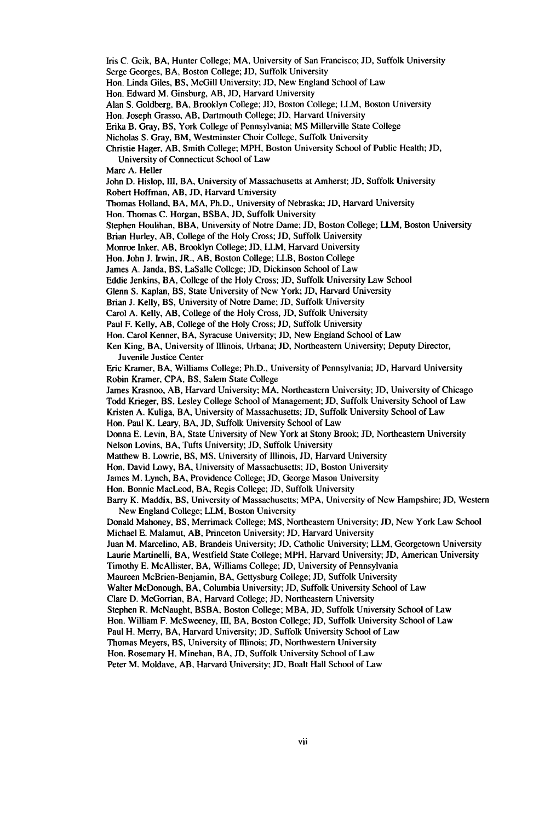Iris C. Geik, BA, Hunter College; MA, University of San Francisco; JD, Suffolk University

Serge Georges, BA, Boston College; **ID,** Suffolk University

Hon. Linda Giles, BS, McGill University; **JD,** New England School of Law

Hon. Edward M. Ginsburg, AB, JD, Harvard University

Alan S. Goldberg, BA, Brooklyn College; **JD,** Boston College; LLM, Boston University

Hon. Joseph Grasso, AB, Dartmouth College; **JD,** Harvard University

Erika B. Gray, BS, York College of Pennsylvania; MS Millerville State College

Nicholas S. Gray, BM, Westminster Choir College, Suffolk University

Christie Hager, AB, Smith College; MPH, Boston University School of Public Health; JD, University of Connecticut School of Law

Marc A. Heller

John D. Hislop, III, BA, University of Massachusetts at Amherst; JD, Suffolk University

Robert Hoffman, AB, JD, Harvard University

Thomas Holland, BA, MA, Ph.D., University of Nebraska; JD, Harvard University

Hon. Thomas C. Horgan, BSBA, JD, Suffolk University

Stephen Houlihan, BBA, University of Notre Dame; JD, Boston College; LLM, Boston University

Brian Hurley, AB, College of the Holy Cross; JD, Suffolk University

Monroe Inker, AB, Brooklyn College; *JD,* LLM, Harvard University

Hon. John J. Irwin, JR., AB, Boston College; LLB, Boston College

James A. Janda, BS, LaSalle College; **JD,** Dickinson School of Law

Eddie Jenkins, BA, College of the Holy Cross; JD, Suffolk University Law School

Glenn S. Kaplan, BS, State University of New York; JD, Harvard University

Brian **J.** Kelly, BS, University of Notre Dame; JD, Suffolk University

Carol A. Kelly, AB, College of the Holy Cross, JD, Suffolk University

Paul F. Kelly, AB, College of the Holy Cross; JD, Suffolk University

Hon. Carol Kenner, BA, Syracuse University; **JD,** New England School of Law

Ken King, BA, University of Illinois, Urbana; JD, Northeastern University; Deputy Director, Juvenile Justice Center

Eric Kramer, BA, Williams College; Ph.D., University of Pennsylvania; JD, Harvard University Robin Kramer, CPA, BS, Salem State College

James Krasnoo, AB, Harvard University; MA, Northeastern University; **JD,** University of Chicago Todd Krieger, BS, Lesley College School of Management; JD, Suffolk University School of Law

Kristen A. Kuliga, BA, University of Massachusetts; **JD,** Suffolk University School of Law

Hon. Paul K. Leary, BA, **JD,** Suffolk University School of Law

Donna E. Levin, BA, State University of New York at Stony Brook; JD, Northeastern University Nelson Lovins, BA, Tufts University; **JD,** Suffolk University

Matthew B. Lowrie, BS, **MS,** University of Illinois, JD, Harvard University

Hon. David Lowy, BA, University of Massachusetts; **JD,** Boston University

James M. Lynch, BA, Providence College; JD, George Mason University

Hon. Bonnie MacLeod, BA, Regis College; **JD,** Suffolk University

Barry K. Maddix, BS, University of Massachusetts; MPA, University of New Hampshire; JD, Western New England College; LLM, Boston University

Donald Mahoney, BS, Merrimack College; **MS,** Northeastern University; JD, New York Law School Michael E. Malamut, AB, Princeton University; **JD,** Harvard University

Juan M. Marcelino, AB, Brandeis University; **JD,** Catholic University; LLM, Georgetown University Laurie Martinelli, BA, Westfield State College; MPH, Harvard University; JD, American University

Timothy E. McAllister, BA, Williams College; JD, University of Pennsylvania

Maureen McBrien-Benjamin, BA, Gettysburg College; **JD,** Suffolk University

Walter McDonough, BA, Columbia University; **JD,** Suffolk University School of Law

Clare D. McGorrian, BA, Harvard College; JD, Northeastern University

Stephen R. McNaught, BSBA, Boston College; MBA, JD, Suffolk University School of Law

Hon. William F. McSweeney, III, BA, Boston College; JD, Suffolk University School of Law

Paul H. Merry, BA, Harvard University; **JD,** Suffolk University School of Law

Thomas Meyers, BS, University of Illinois; JD, Northwestern University

Hon. Rosemary H. Minehan, BA, **JD,** Suffolk University School of Law

Peter M. Moldave, AB, Harvard University; **JD,** Boalt Hall School of Law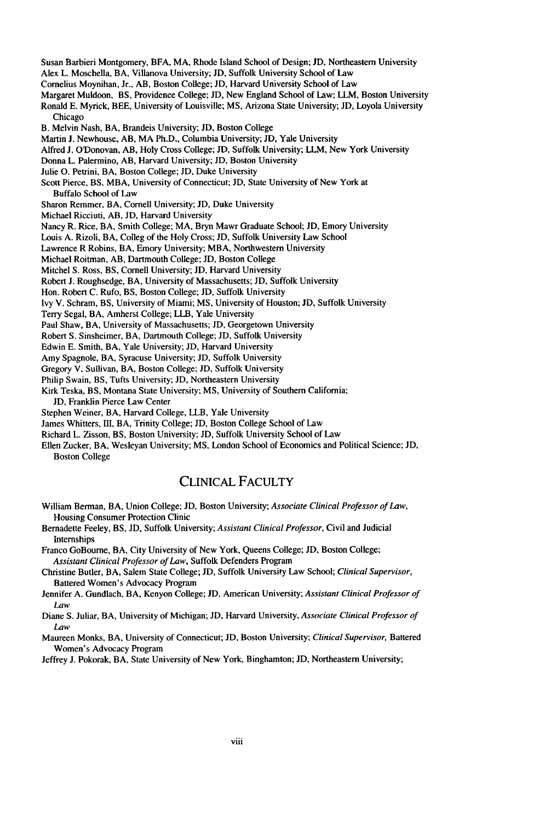Susan Barbieri Montgomery, BFA, MA, Rhode Island School of Design; **JD,** Northeastern University Alex L. Moschella, BA, Villanova University; JD, Suffolk University School of Law Cornelius Moynihan, Jr., AB, Boston College; **JD,** Harvard University School of Law Margaret Muldoon, BS, Providence College; JD, New England School of Law; LLM, Boston University Ronald E. Myrick, BEE, University of Louisville; MS, Arizona State University; JD, Loyola University Chicago B. Melvin Nash, BA, Brandeis University; JD, Boston College Martin J. Newhouse, AB, MA Ph.D., Columbia University; JD, Yale University Alfred J. O'Donovan, AB, Holy Cross College; JD, Suffolk University; LLM, New York University Donna L. Palermino, AB, Harvard University; JD, Boston University Julie **0.** Petrini, BA, Boston College; **JD,** Duke University Scott Pierce, **BS,** MBA, University of Connecticut; **JD,** State University of New York at Buffalo School of Law Sharon Remmer, BA, Cornell University; JD, Duke University Michael Ricciuti, AB, JD, Harvard University Nancy R. Rice, BA, Smith College; MA, Bryn Mawr Graduate School; JD, Emory University Louis A. Rizoli, BA, Colleg of the Holy Cross; JD, Suffolk University Law School Lawrence R Robins, BA, Emory University; MBA, Northwestern University Michael Roitman, AB, Dartmouth College; **JD,** Boston College Mitchel S. Ross, BS, Cornell University; JD, Harvard University Robert J. Roughsedge, BA, University of Massachusetts; JD, Suffolk University Hon. Robert C. Rufo, BS, Boston College; **JD,** Suffolk University Ivy V. Schram, BS, University of Miami; **MS,** University of Houston; JD, Suffolk University Terry Segal, BA, Amherst College; LLB, Yale University Paul Shaw, BA, University of Massachusetts; JD, Georgetown University Robert S. Sinsheimer, BA, Dartmouth College; JD, Suffolk University Edwin E. Smith, BA, Yale University; **JD,** Harvard University Amy Spagnole, BA, Syracuse University; **JD,** Suffolk University Gregory V. Sullivan, BA, Boston College; JD, Suffolk University Philip Swain, BS, Tufts University; JD, Northeastern University

Kirk Teska, BS, Montana State University; **MS,** University of Southern California;

**JD,** Franklin Pierce Law Center

Stephen Weiner, BA, Harvard College, LLB, Yale University

James Whitters, HI, BA, Trinity College; **JD,** Boston College School of Law

Richard L. Zisson, BS, Boston University; JD, Suffolk University School of Law

Ellen Zucker, BA, Wesleyan University; **MS,** London School of Economics and Political Science; **JD,** Boston College

#### CLINICAL FACULTY

William Berman, BA, Union College; **JD,** Boston University; *Associate Clinical Professor of Law,* Housing Consumer Protection Clinic

Bernadette Feeley, BS, **JD,** Suffolk University; *Assistant Clinical Professor,* Civil and Judicial Internships

Franco GoBourne, BA, City University of New York, Queens College; **JD,** Boston College; *Assistant Clinical Professor of Law,* Suffolk Defenders Program

Christine Butler, BA, Salem State College; **JD,** Suffolk University Law School; *Clinical Supervisor,* Battered Women's Advocacy Program

Jennifer A. Gundlach, BA, Kenyon College; **JD,** American University; *Assistant Clinical Professor of Law*

Diane S. Juliar, BA, University of Michigan; **JD,** Harvard University, *Associate Clinical Professor of Law*

Maureen Monks, BA, University of Connecticut; **JD,** Boston University; *Clinical Supervisor,* Battered Women's Advocacy Program

Jeffrey **J.** Pokorak, BA, State University of New York, Binghamton; **JD,** Northeastern University;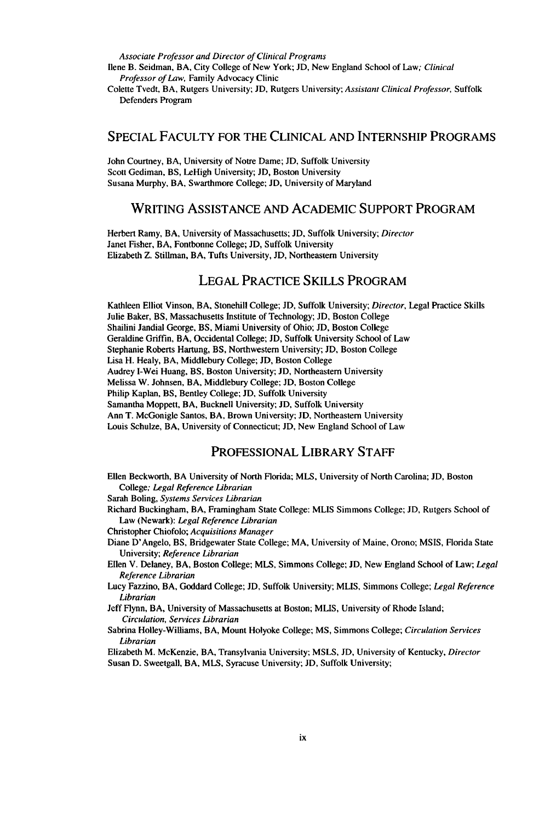Associate *Professor and Director of Clinical Programs*

Ilene B. Seidman, BA, City College of New York; **JD,** New England School of Law; Clinical *Professor of Law,* Family Advocacy Clinic

Colette Tvedt, BA, Rutgers University; **JD,** Rutgers University; *Assistant Clinical Professor,* Suffolk Defenders Program

#### SPECIAL FACULTY FOR THE CLINICAL AND INTERNSHIP PROGRAMS

John Courtney, BA, University of Notre Dame; JD, Suffolk University Scott Gediman, BS, LeHigh University; JD, Boston University Susana Murphy, BA, Swarthmore College; JD, University of Maryland

#### WRITING ASSISTANCE AND ACADEMIC SUPPORT PROGRAM

Herbert Ramy, BA, University of Massachusetts; JD, Suffolk University; *Director* Janet Fisher, BA, Fontbonne College; JD, Suffolk University Elizabeth Z. Stillman, BA, Tufts University, JD, Northeastern University

#### LEGAL PRACTICE SKILLS PROGRAM

Kathleen Elliot Vinson, BA, Stonehill College; JD, Suffolk University; *Director,* Legal Practice Skills Julie Baker, BS, Massachusetts Institute of Technology; JD, Boston College Shailini Jandial George, BS, Miami University of Ohio; **JD,** Boston College Geraldine Griffin, BA, Occidental College; **JD,** Suffolk University School of Law Stephanie Roberts Hartung, BS, Northwestern University; JD, Boston College Lisa H. Healy, BA, Middlebury College; JD, Boston College Audrey I-Wei Huang, BS, Boston University; JD, Northeastern University Melissa W. Johnsen, BA, Middlebury College; **JD,** Boston College Philip Kaplan, BS, Bentley College; **JD,** Suffolk University Samantha Moppett, BA, Bucknell University; JD, Suffolk University Ann T. McGonigle Santos, BA, Brown University; **JD,** Northeastern University Louis Schulze, BA, University of Connecticut; **JD,** New England School of Law

#### PROFESSIONAL LIBRARY **STAFF**

- Ellen Beckworth, BA University of North Florida; MLS, University of North Carolina; JD, Boston College; *Legal Reference Librarian*
- Sarah Boling, *Systems Services Librarian*
- Richard Buckingham, BA, Framingham State College: MLIS Simmons College; JD, Rutgers School of Law (Newark): *Legal Reference Librarian*
- Christopher Chiofolo; *Acquisitions Manager*
- Diane D'Angelo, BS, Bridgewater State College; MA, University of Maine, Orono; MSIS, Florida State University; *Reference Librarian*
- Ellen V. Delaney, BA, Boston College; MLS, Simmons College; JD, New England School of Law; *Legal Reference Librarian*
- Lucy Fazzino, BA, Goddard College; **JD,** Suffolk University; MLIS, Simmons College; *Legal Reference* Librarian

Jeff Flynn, BA, University of Massachusetts at Boston; MLIS, University of Rhode Island; Circulation, Services Librarian

Sabrina Holley-Williams, BA, Mount Holyoke College; **MS,** Simmons College; *Circulation Services* Librarian

Elizabeth M. McKenzie, BA, Transylvania University; MSLS, JD, University of Kentucky, Director Susan D. Sweetgall, BA, MLS, Syracuse University; **JD,** Suffolk University;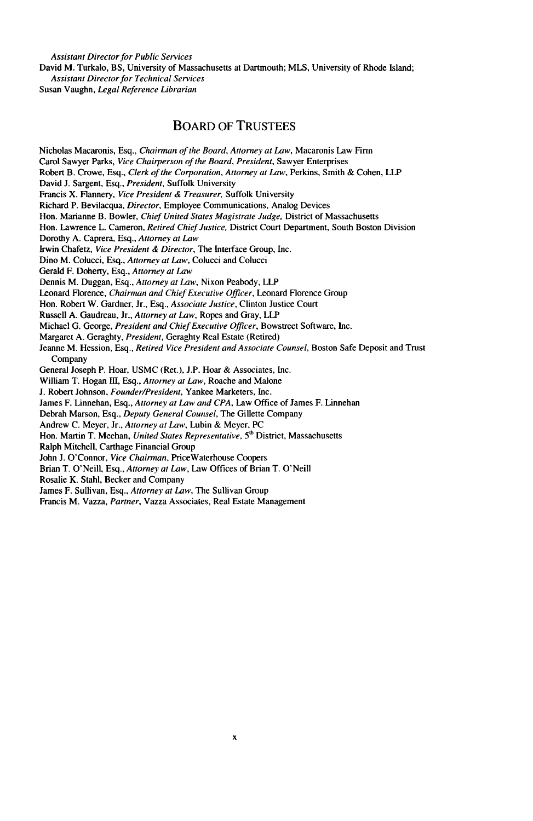*Assistant Director for Public Services* David M. Turkalo, BS, University of Massachusetts at Dartmouth; MLS, University of Rhode Island; *Assistant Director for Technical Services*

Susan Vaughn, *Legal Reference Librarian*

#### BOARD OF **TRUSTEES**

Nicholas Macaronis, Esq., *Chairman of the Board, Attorney at Law,* Macaronis Law Finn Carol Sawyer Parks, *Vice Chairperson of the Board, President,* Sawyer Enterprises Robert B. Crowe, Esq., *Clerk of the Corporation, Attorney at Law,* Perkins, Smith & Cohen, LLP David J. Sargent, Esq., *President,* Suffolk University Francis X. Flannery, *Vice President & Treasurer,* Suffolk University Richard P. Bevilacqua, *Director,* Employee Communications, Analog Devices Hon. Marianne B. Bowler, *Chief United States Magistrate Judge,* District of Massachusetts Hon. Lawrence L. Cameron, *Retired Chief Justice,* District Court Department, South Boston Division Dorothy A. Caprera, Esq., *Attorney at Law* Irwin Chafetz, *Vice President & Director,* The Interface Group, Inc. Dino M. Colucci, Esq., *Attorney at Law,* Colucci and Colucci Gerald F. Doherty, Esq., *Attorney at Law* Dennis M. Duggan, Esq., *Attorney at Law,* Nixon Peabody, LLP Leonard Florence, *Chairman and Chief Executive Officer,* Leonard Florence Group Hon. Robert W. Gardner, Jr., Esq., *Associate Justice,* Clinton Justice Court Russell A. Gaudreau, Jr., *Attorney at Law,* Ropes and Gray, LLP Michael G. George, *President and Chief Executive Officer,* Bowstreet Software, Inc. Margaret A. Geraghty, *President,* Geraghty Real Estate (Retired) Jeanne M. Hession, Esq., *Retired Vice President and Associate Counsel,* Boston Safe Deposit and Trust Company General Joseph P. Hoar, USMC (Ret.), J.P. Hoar & Associates, Inc. William T. Hogan Il, Esq., *Attorney at Law,* Roache and Malone J. Robert Johnson, *Founder/President,* Yankee Marketers, Inc. James F. Linnehan, Esq., *Attorney at Law and CPA,* Law Office of James F. Linnehan Debrah Marson, Esq., *Deputy General Counsel,* The Gillette Company Andrew C. Meyer, Jr., *Attorney at Law,* Lubin & Meyer, PC Hon. Martin T. Meehan, *United States Representative,* **5h** District, Massachusetts Ralph Mitchell, Carthage Financial Group John J. O'Connor, *Vice Chairman,* PriceWaterhouse Coopers Brian T. O'Neill, Esq., *Attorney at Law,* Law Offices of Brian T. O'Neill Rosalie K. Stahl, Becker and Company James F. Sullivan, Esq., *Attorney at Law,* The Sullivan Group Francis M. Vazza, *Partner,* Vazza Associates, Real Estate Management